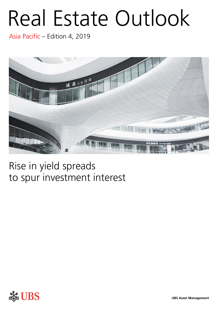# Real Estate Outlook

Asia Pacific – Edition 4, 2019



## Rise in yield spreads to spur investment interest

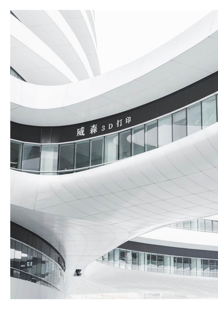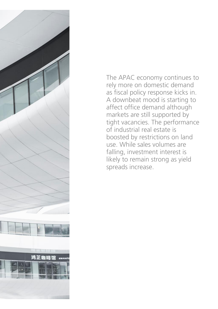![](_page_2_Picture_0.jpeg)

The APAC economy continues to rely more on domestic demand as fiscal policy response kicks in. A downbeat mood is starting to affect office demand although markets are still supported by tight vacancies. The performance of industrial real estate is boosted by restrictions on land use. While sales volumes are falling, investment interest is likely to remain strong as yield spreads increase.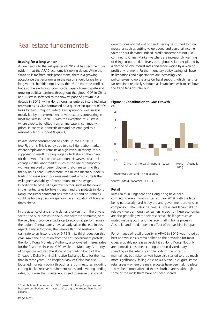## Real estate fundamentals

#### **Bracing for a long winter**

As we head into the last quarter of 2019, it has become more evident that the APAC economy is slowing down. While the situation is far from crisis proportions, there is a growing acceptance that economies in the region should brace for a long winter, heralded not just by the US-China trade conflict, but also the electronics down-cycle, Japan-Korea dispute and growing political tensions throughout the globe. GDP in China and Australia softened to the slowest pace of growth in a decade in 2Q19, while Hong Kong has entered into a technical recession as its GDP contracted on a quarter-on-quarter (QoQ) basis for two straight quarters. Unsurprisingly, weakness is mostly led by the external sector with exports contracting in most markets in 8M2019, with the exception of Australia where exports benefited from an increase in commodity prices. In contrast, domestic demand has emerged as a resilient pillar of support (Figure 1).

Private sector consumption has held up<sup>1</sup> well in 2019 (see Figure 1). This is partly due to a still-tight labor market where employment remains at high levels. In theory, this is supposed to result in rising wages which should then have trickle-down effects on consumption. However, structural changes in the labor market (such as the rise of temporary workers, masked underemployment, etc.) are turning this theory on its head. Furthermore, the muted macro outlook is leading to weakening business sentiment which curtails the willingness and ability of corporations to raise wages. In addition to other idiosyncratic factors, such as the newly implemented sales tax hike in Japan and the protests in Hong Kong, consumer sentiment has taken a hit and households could be holding back on spending in anticipation of tougher times ahead.

In the absence of any strong demand drivers from the private sector, the buck passes to the public sector to stimulate, or at the very least, provide a backstop to economic performance in the region. Central banks have already taken the lead in this aspect. Early in October, the Reserve Bank of Australia cut its cash rate to an historic low of 0.75% – its third reduction this year. Amid the disruption from the anti-government protests, the Hong Kong Monetary Authority also lowered interest rates for the first time since the GFC, while the Monetary Authority of Singapore reduced the slope of the trading band of the Singapore Dollar Nominal Effective Exchange Rate for the first time in three years. The People's Bank of China has also loosened monetary policy through a raft of measures including cutting banks' reserve requirement ratios and lowering lending rates, but given the simultaneous need to ensure that credit

growth does not get out of hand, Beijing has turned to fiscal measures such as cutting value-added and personal income taxes to spur demand. Indeed, credit concerns are not just confined to China. Market watchers are increasingly warning of rising corporate debt levels throughout Asia, precipitated by a decade of low interest rates and made worse by a waning profit environment. Further monetary policy easing will have its limitations and expectations are increasingly on policymakers to up the ante on fiscal support, which has thus far remained relatively subdued as lawmakers wait to see how the trade tensions play out.

![](_page_3_Figure_7.jpeg)

![](_page_3_Figure_8.jpeg)

#### **Retail**

Retail sales in Singapore and Hong Kong have been contracting every month since February 2019, with the latter being particularly hard-hit by the anti-government protests. In comparison, retail sales in China, Australia and Japan held up relatively well, although consumers in each of these economies are also grappling with their respective challenges such as muted wage growth and the recent fall in home prices in Australia, and the dampening effect of the tax hike in Japan.

Performance of retail property in APAC in 3Q19 was muted at best and while risks remain tilted to the downside for most cities, arguably none is as badly hit as Hong Kong. Not only are domestic consumers cutting back on discretionary spending as the intensity and ferocity of the unrest is maintained, but visitor arrivals have also started to drop much more significantly, falling close to 40% YoY in August. Prime retail areas – where the main protests have been taking place – have been more affected than suburban areas, although some of the malls there have not been spared.

l

<sup>1</sup> Contribution of net exports to GDP growth for Hong Kong is positive because contributions from imports fell to a greater extent than that of exports

Source: Oxford Economics, CEIC, 2Q19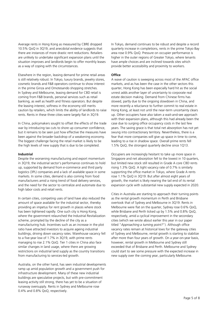Average rents in Hong Kong as measured by CBRE dropped 10.5% QoQ in 3Q19, and anecdotal evidence suggests that there are instances of more drastic rent reductions. Retailers are unlikely to undertake significant expansion plans until the situation improves and landlords begin to offer monthly leases as a way of coping with the circumstances.

Elsewhere in the region, leasing demand for prime retail areas is still relatively robust. In Tokyo, luxury brands, jewelry stores, cosmetic brands and F&B operators continue to show interest in the prime Ginza and Omotesando shopping stretches. In Sydney and Melbourne, leasing demand for CBD retail is coming from F&B brands, personal services such as retail banking, as well as health and fitness operators. But despite the leasing interest, softness in the economy still merits caution by retailers, which limits the ability of landlords to raise rents. Rents in these three cities were largely flat in 3Q19.

In China, policymakers sought to offset the effects of the trade war by introducing tax cuts to shore up consumer confidence, but it remains to be seen just how effective the measures have been against the broader backdrop of a weakening economy. The biggest challenge facing the retail market is likely to be the high levels of new supply that is due to be completed.

#### **Industrial**

Despite the worsening manufacturing and export momentum in 3Q19, the industrial sector's performance continues to hold up, supported by demand from e-commerce and third party logistics (3PL) companies and a lack of available space in some markets. In some cities, demand is also coming from food manufacturers amid a rising trend of food delivery services, and the need for the sector to centralize and automate due to high labor costs and retail rents.

In certain cities, competing uses of land have also reduced the amount of space available for the industrial sector, thereby providing an impetus for rent growth in places where stock has been tightened rapidly. One such city is Hong Kong, where the government relaunched the Industrial Revitalization scheme, prompted by the decline of the city as a manufacturing hub. Incentives such as an increase in the plot ratio have attracted investors to acquire ageing industrial buildings, driving down vacancy rates. Warehouse vacancy fell to a five-year low of 1.7% in 3Q19, with prime rents managing to rise 2.1% QoQ. Tier 1 cities in China also face similar changes in land usage, where there are growing restrictions on industrial land supply as the country transitions from manufacturing to services-led growth.

Australia, on the other hand, has seen industrial developments ramp up amid population growth and a government push for infrastructure development. Many of these new industrial buildings are speculative projects, but with pre-commitment leasing activity still strong, there has yet to be a situation of runaway oversupply. Rents in Sydney and Melbourne rose 0.4% and 0.8% QoQ, respectively.

In Tokyo, demand continues to be robust and despite a record quarterly increase in completions, rents in the prime Tokyo Bay area rose 0.9% QoQ. Pressure on occupier performance is higher in the outer regions of Greater Tokyo, where tenants have ample choices and are inclined towards sites which provide better accessibility and proximity to workers.

#### **Office**

A wave of caution is sweeping across most of the APAC office markets, and as has been the case in the other sectors this quarter, Hong Kong has been especially hard hit as the social unrest adds another layer of uncertainty to corporate real estate decision making. Demand from Chinese firms has slowed, partly due to the ongoing slowdown in China, and more recently a reluctance to further commit to real estate in Hong Kong, at least not until the near-term uncertainty clears up. Other occupiers have also taken a wait-and-see approach with their expansion plans, although this had already been the case due to surging office occupancy costs in the last few years. The saving grace is that total net absorption has not yet swung into contractionary territory. Nevertheless, there is a fear that more companies will give up space in time to come, leading to a rise in shadow space. Overall prime rents fell 1.5% QoQ, the strongest quarterly decline since 1Q13.

Occupiers are increasingly hesitant to take up more space in Singapore and net absorption fell to the lowest in 10 quarters, but limited new stock still resulted in Grade A core CBD rents rising 1.3% QoQ. A tight vacancy rate of 0.7% is similarly supporting the office market in Tokyo, where Grade A rents rose 1.1% QoQ in 3Q19. But after almost eight years of growth, the market is likely nearing the tail end of its rental expansion cycle with substantial new supply expected in 2020.

Cities in Australia are starting to approach their turning points as the rental growth momentum in Perth and Brisbane overtook that of Sydney and Melbourne in 3Q19. Rents in Melbourne were flat on the quarter, Sydney rose 0.6% QoQ, while Brisbane and Perth ticked up by 1.5% and 0.8% QoQ, respectively, amid a cyclical improvement in the secondary cities (which we wrote about earlier this year in our paper titled "*Approaching a turning point?*"). Although office vacancy rates remain at historical lows for the gateway cities of Sydney and Melbourne, rental growth is starting to stabilize after more than four years of growth. On a year-on-year basis, however, rental growth in Melbourne and Sydney still exceeded that of Brisbane and Perth. Melbourne and Sydney could start to see some pressure with the expected increase in new supply over the coming year, particularly Melbourne.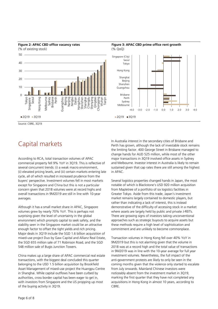![](_page_5_Figure_0.jpeg)

![](_page_5_Figure_1.jpeg)

Source: CBRF, 3019

## Capital markets

According to RCA, total transaction volumes of APAC commercial property fell 9% YoY in 3Q19. This is reflective of several concurrent trends: (i) a weak macro environment, (ii) elevated pricing levels, and (iii) certain markets entering late cycle, all of which resulted in increased prudence from the buyers' perspective. Investment volumes fell in most markets except for Singapore and China but this is not a particular concern given that 2018 volumes were at record highs and overall transactions in 9M2019 are still in line with 10-year averages.

Although it has a small market share in APAC, Singapore volumes grew by nearly 70% YoY. This is perhaps not surprising given the level of uncertainty in the global environment which prompts capital to seek safety, and the stability seen in the Singapore market could be an attractive enough factor to offset the tight yields and rich pricing. Major deals in 3Q19 include the SGD 1.6 billion acquisition of mixed-use project Duo by Gaw Capital and Allianz Real Estate, the SGD 655 million sale of 71 Robinson Road, and the SGD 548 million sale of Bugis Junction Towers.

China makes up a large share of APAC commercial real estate transactions, with the biggest deal concluded this quarter belonging to the USD 1.5 billion acquisition by Brookfield Asset Management of mixed-use project the Huangpu Centre in Shanghai. While capital outflows have been curbed by authorities, cross border capital has been eager to get in, with investors from Singapore and the US propping up most of the buying activity in 3Q19.

In Australia interest in the secondary cities of Brisbane and Perth has grown, although the lack of investable stock remains the limiting factor. 400 George Street in Brisbane managed to change hands for AUD 525 million, while most of the other major transactions in 3Q19 involved office assets in Sydney and Melbourne. Investor interest in Australia is likely to remain sustained given that cap rates there are still among the highest in APAC.

Several logistics properties changed hands in Japan, the most notable of which is Blackstone's USD 920 million acquisition from Mapletree of a portfolio of six logistics facilities in Greater Tokyo. Aside from this trade, Japan's investment market remains largely contained to domestic players, but rather than indicating a lack of interest, this is instead demonstrative of the difficulty of accessing stock in a market where assets are largely held by public and private J-REITs. There are growing signs of investors taking unconventional approaches such as strategic buyouts to acquire assets but these methods require a high level of sophistication and commitment and are unlikely to become commonplace.

Transaction volumes in Hong Kong fell over 40% YoY in 9M2019 but this is not alarming given that the volume in 2018 was at a record high and the total value of transactions in 9M2019 was in line with the 10-year average for full year investment volumes. Nevertheless, the full impact of the anti-government protests are likely to only be seen in the coming months given that the violence only started to escalate from July onwards. Mainland Chinese investors were noticeably absent from the investment market in 3Q19, marking the first quarter that they have not completed any acquisitions in Hong Kong in almost 10 years, according to CBRE.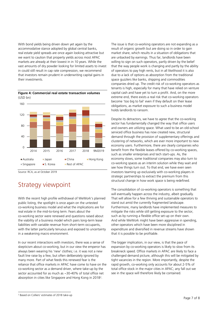With bond yields being driven down yet again by the accommodative stance adopted by global central banks, real estate yield spreads are once again looking attractive but we want to caution that property yields across most APAC markets are already at their lowest in in 10 years. While the vast amounts of dry powder looking for limited assets to invest in could still result in cap rate compression, we recommend that investors remain prudent in underwriting capital gains in their investments.

![](_page_6_Figure_1.jpeg)

**Figure 4: Commercial real estate transaction volumes** (USD bn)

Source: RCA, as at October 2019

## Strategy viewpoint

With the recent high profile withdrawal of WeWork's planned public listing, the spotlight is once again on the untested co-working business model and what the implications are for real estate in the mid-to-long term. Fears about the co-working sector were renewed and questions raised about the viability of a business model which pairs long-term lease liabilities with variable revenue from short-term occupants, with the latter particularly tenuous and exposed to uncertainty in a weakening macro environment.

In our recent interactions with investors, there was a sense of skepticism about co-working, but in our view the emperor has always been wearing his 'new' clothes; i.e. it was not a new fault line raise by a few, but often deliberately ignored by many more. Part of what feeds this renewed fear is the reliance that office markets in APAC have come to have on the co-working sector as a demand driver, where take-up by the sector accounted for as much as ~30-40% of total office net absorption in cities like Singapore and Hong Kong in 2018<sup>2</sup> .

The issue is that co-working operators are not expanding as a result of organic growth but are doing so in order to gain market share, which results in a situation of obligations that are unbacked by earnings. Thus far, landlords have been willing to sign on such operators, partly driven by the belief that the way people work is changing and partly by the ability of operators to pay high rents, but in all likelihood it is also due to a lack of options as absorption from the traditional space guzzlers like banks, shipping and commodities companies dried up. The credit risk of co-working operators as tenants is high, especially for many that have relied on venture capital cash and have yet to turn a profit. And, on the more extreme end, there exists a real risk that co-working operators become 'too big to fail' even if they default on their lease obligations, as market exposure to such a business model holds landlords to ransom.

Despite its detractors, we have to agree that the co-working sector has fundamentally changed the way that office users and owners are utilizing space. What used to be an old-school serviced office business has now created new, structural demand through the provision of supplementary offerings and clustering of networks, which are ever more important to new economy users. Furthermore, there are clearly companies who benefit from the flexible leases offered by co-working spaces, such as smaller enterprises and tech start-ups. As, the economy slows, some traditional companies may also turn to co-working spaces as an interim solution while they wait and see how things turn out. To that end, we have even seen investors teaming up exclusively with co-working players in strategic partnerships to extract the premium from this structural change in how work space is being redefined.

The consolidation of co-working operators is something that will eventually happen across the industry, albeit gradually. That will allow for a few thriving and sustainable operators to stand out amid the currently fragmented landscape. Furthermore, many landlords have implemented measures to mitigate the risks while still getting exposure to the sector, such as by running a flexible office set-up on their own. And while WeWork might have been aggressive in spending, other operators which have been more disciplined in expenditure and diversified in revenue streams have shown that it is possible to be profitable.

The bigger implication, in our view, is that the pace of expansion by co-working operators is likely to slow from its breakneck speed. Office markets in APAC are likely to face a challenged demand picture, although this will be mitigated by tight vacancies in the region. More importantly, despite the rapid growth, co-working only accounts for about 2-5% of total office stock in the major cities in APAC; any fall out we see in the space will therefore likely be contained.

l

<sup>2</sup> Based on Colliers' estimates of 2018 take-up